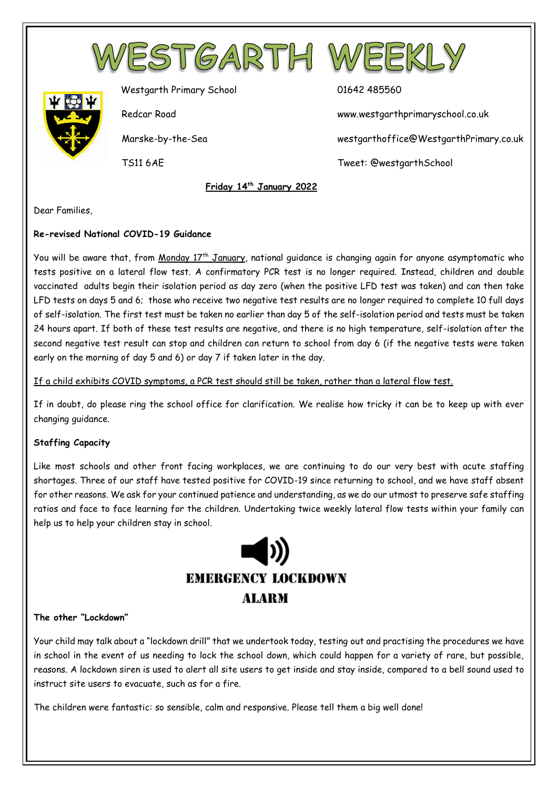



Westgarth Primary School 01642 485560

 Redcar Road www.westgarthprimaryschool.co.uk Marske-by-the-Sea westgarthoffice@WestgarthPrimary.co.uk TS11 6AE Tweet: @westgarthSchool

 **Friday 14th January 2022**

Dear Families,

### **Re-revised National COVID-19 Guidance**

You will be aware that, from Monday 17<sup>th</sup> January, national guidance is changing again for anyone asymptomatic who tests positive on a lateral flow test. A confirmatory PCR test is no longer required. Instead, children and double vaccinated adults begin their isolation period as day zero (when the positive LFD test was taken) and can then take LFD tests on days 5 and 6; those who receive two negative test results are no longer required to complete 10 full days of self-isolation. The first test must be taken no earlier than day 5 of the self-isolation period and tests must be taken 24 hours apart. If both of these test results are negative, and there is no high temperature, self-isolation after the second negative test result can stop and children can return to school from day 6 (if the negative tests were taken early on the morning of day 5 and 6) or day 7 if taken later in the day.

If a child exhibits COVID symptoms, a PCR test should still be taken, rather than a lateral flow test.

If in doubt, do please ring the school office for clarification. We realise how tricky it can be to keep up with ever changing guidance.

# **Staffing Capacity**

Like most schools and other front facing workplaces, we are continuing to do our very best with acute staffing shortages. Three of our staff have tested positive for COVID-19 since returning to school, and we have staff absent for other reasons. We ask for your continued patience and understanding, as we do our utmost to preserve safe staffing ratios and face to face learning for the children. Undertaking twice weekly lateral flow tests within your family can help us to help your children stay in school.



#### **The other "Lockdown"**

Your child may talk about a "lockdown drill" that we undertook today, testing out and practising the procedures we have in school in the event of us needing to lock the school down, which could happen for a variety of rare, but possible, reasons. A lockdown siren is used to alert all site users to get inside and stay inside, compared to a bell sound used to instruct site users to evacuate, such as for a fire.

The children were fantastic: so sensible, calm and responsive. Please tell them a big well done!